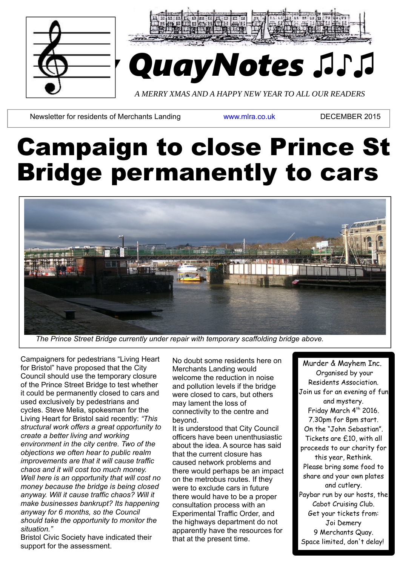



*A MERRY XMAS AND A HAPPY NEW YEAR TO ALL OUR READERS*

Newsletter for residents of Merchants Landing [www.mlra.co.uk](http://www.mlra.co.uk/) DECEMBER 2015

# Campaign to close Prince St Bridge permanently to cars



 *The Prince Street Bridge currently under repair with temporary scaffolding bridge above.*

Campaigners for pedestrians "Living Heart for Bristol" have proposed that the City Council should use the temporary closure of the Prince Street Bridge to test whether it could be permanently closed to cars and used exclusively by pedestrians and cycles. Steve Melia, spokesman for the Living Heart for Bristol said recently: *"This structural work offers a great opportunity to create a better living and working environment in the city centre. Two of the objections we often hear to public realm improvements are that it will cause traffic chaos and it will cost too much money. Well here is an opportunity that will cost no money because the bridge is being closed anyway. Will it cause traffic chaos? Will it make businesses bankrupt? Its happening anyway for 6 months, so the Council should take the opportunity to monitor the situation."*

Bristol Civic Society have indicated their support for the assessment.

No doubt some residents here on Merchants Landing would welcome the reduction in noise and pollution levels if the bridge were closed to cars, but others may lament the loss of connectivity to the centre and beyond.

It is understood that City Council officers have been unenthusiastic about the idea. A source has said that the current closure has caused network problems and there would perhaps be an impact on the metrobus routes. If they were to exclude cars in future there would have to be a proper consultation process with an Experimental Traffic Order, and the highways department do not apparently have the resources for that at the present time.

Murder & Mayhem Inc. Organised by your Residents Association. Join us for an evening of fun and mystery. Friday March 4<sup>th</sup> 2016. 7.30pm for 8pm start. On the "John Sebastian". Tickets are £10, with all proceeds to our charity for this year, Rethink. Please bring some food to share and your own plates and cutlery. Paybar run by our hosts, the Cabot Cruising Club. Get your tickets from: Joi Demery 9 Merchants Quay. Space limited, don't delay!